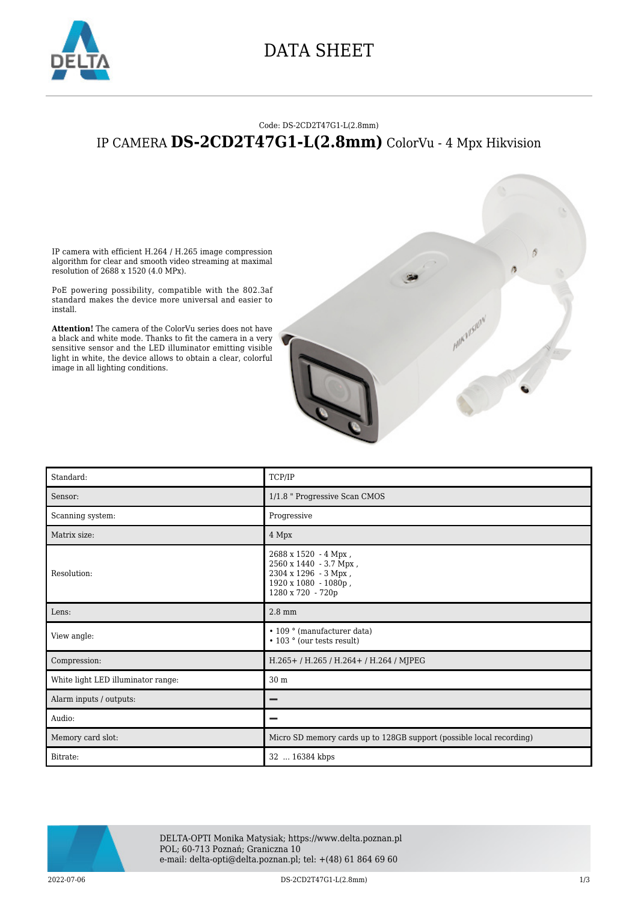

## DATA SHEET

#### Code: DS-2CD2T47G1-L(2.8mm)

### IP CAMERA **DS-2CD2T47G1-L(2.8mm)** ColorVu - 4 Mpx Hikvision

IP camera with efficient H.264 / H.265 image compression algorithm for clear and smooth video streaming at maximal resolution of 2688 x 1520 (4.0 MPx).

PoE powering possibility, compatible with the 802.3af standard makes the device more universal and easier to install.

**Attention!** The camera of the ColorVu series does not have a black and white mode. Thanks to fit the camera in a very sensitive sensor and the LED illuminator emitting visible light in white, the device allows to obtain a clear, colorful image in all lighting conditions.





DELTA-OPTI Monika Matysiak; https://www.delta.poznan.pl POL; 60-713 Poznań; Graniczna 10 e-mail: delta-opti@delta.poznan.pl; tel: +(48) 61 864 69 60

A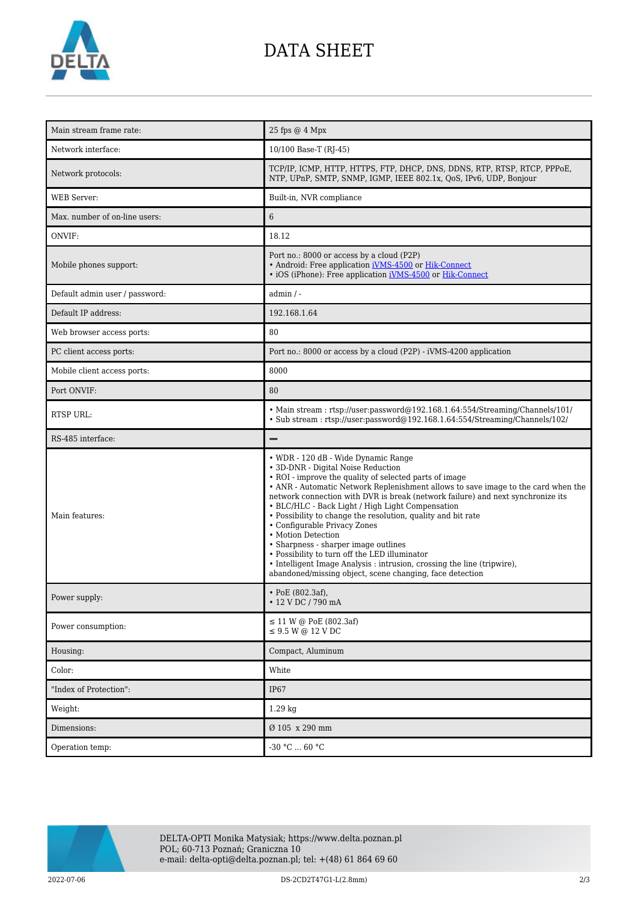

# DATA SHEET

| Main stream frame rate:        | 25 fps @ 4 Mpx                                                                                                                                                                                                                                                                                                                                                                                                                                                                                                                                                                                                                                                                                                        |
|--------------------------------|-----------------------------------------------------------------------------------------------------------------------------------------------------------------------------------------------------------------------------------------------------------------------------------------------------------------------------------------------------------------------------------------------------------------------------------------------------------------------------------------------------------------------------------------------------------------------------------------------------------------------------------------------------------------------------------------------------------------------|
| Network interface:             | 10/100 Base-T (RJ-45)                                                                                                                                                                                                                                                                                                                                                                                                                                                                                                                                                                                                                                                                                                 |
| Network protocols:             | TCP/IP, ICMP, HTTP, HTTPS, FTP, DHCP, DNS, DDNS, RTP, RTSP, RTCP, PPPoE,<br>NTP, UPnP, SMTP, SNMP, IGMP, IEEE 802.1x, QoS, IPv6, UDP, Bonjour                                                                                                                                                                                                                                                                                                                                                                                                                                                                                                                                                                         |
| <b>WEB</b> Server:             | Built-in, NVR compliance                                                                                                                                                                                                                                                                                                                                                                                                                                                                                                                                                                                                                                                                                              |
| Max. number of on-line users:  | 6                                                                                                                                                                                                                                                                                                                                                                                                                                                                                                                                                                                                                                                                                                                     |
| ONVIF:                         | 18.12                                                                                                                                                                                                                                                                                                                                                                                                                                                                                                                                                                                                                                                                                                                 |
| Mobile phones support:         | Port no.: 8000 or access by a cloud (P2P)<br>• Android: Free application iVMS-4500 or Hik-Connect<br>• iOS (iPhone): Free application iVMS-4500 or Hik-Connect                                                                                                                                                                                                                                                                                                                                                                                                                                                                                                                                                        |
| Default admin user / password: | $admin / -$                                                                                                                                                                                                                                                                                                                                                                                                                                                                                                                                                                                                                                                                                                           |
| Default IP address:            | 192.168.1.64                                                                                                                                                                                                                                                                                                                                                                                                                                                                                                                                                                                                                                                                                                          |
| Web browser access ports:      | 80                                                                                                                                                                                                                                                                                                                                                                                                                                                                                                                                                                                                                                                                                                                    |
| PC client access ports:        | Port no.: 8000 or access by a cloud (P2P) - iVMS-4200 application                                                                                                                                                                                                                                                                                                                                                                                                                                                                                                                                                                                                                                                     |
| Mobile client access ports:    | 8000                                                                                                                                                                                                                                                                                                                                                                                                                                                                                                                                                                                                                                                                                                                  |
| Port ONVIF:                    | 80                                                                                                                                                                                                                                                                                                                                                                                                                                                                                                                                                                                                                                                                                                                    |
| <b>RTSP URL:</b>               | • Main stream: rtsp://user.password@192.168.1.64:554/Streaming/Channels/101/<br>• Sub stream: rtsp://user:password@192.168.1.64:554/Streaming/Channels/102/                                                                                                                                                                                                                                                                                                                                                                                                                                                                                                                                                           |
| RS-485 interface:              |                                                                                                                                                                                                                                                                                                                                                                                                                                                                                                                                                                                                                                                                                                                       |
| Main features:                 | • WDR - 120 dB - Wide Dynamic Range<br>• 3D-DNR - Digital Noise Reduction<br>• ROI - improve the quality of selected parts of image<br>• ANR - Automatic Network Replenishment allows to save image to the card when the<br>network connection with DVR is break (network failure) and next synchronize its<br>• BLC/HLC - Back Light / High Light Compensation<br>• Possibility to change the resolution, quality and bit rate<br>• Configurable Privacy Zones<br>• Motion Detection<br>• Sharpness - sharper image outlines<br>• Possibility to turn off the LED illuminator<br>• Intelligent Image Analysis : intrusion, crossing the line (tripwire),<br>abandoned/missing object, scene changing, face detection |
| Power supply:                  | • PoE $(802.3af)$ ,<br>• 12 V DC / 790 mA                                                                                                                                                                                                                                                                                                                                                                                                                                                                                                                                                                                                                                                                             |
| Power consumption:             | $\leq$ 11 W @ PoE (802.3af)<br>$\leq 9.5$ W @ 12 V DC                                                                                                                                                                                                                                                                                                                                                                                                                                                                                                                                                                                                                                                                 |
| Housing:                       | Compact, Aluminum                                                                                                                                                                                                                                                                                                                                                                                                                                                                                                                                                                                                                                                                                                     |
| Color:                         | White                                                                                                                                                                                                                                                                                                                                                                                                                                                                                                                                                                                                                                                                                                                 |
| "Index of Protection":         | <b>IP67</b>                                                                                                                                                                                                                                                                                                                                                                                                                                                                                                                                                                                                                                                                                                           |
| Weight:                        | $1.29$ kg                                                                                                                                                                                                                                                                                                                                                                                                                                                                                                                                                                                                                                                                                                             |
| Dimensions:                    | Ø 105 x 290 mm                                                                                                                                                                                                                                                                                                                                                                                                                                                                                                                                                                                                                                                                                                        |
| Operation temp:                | $-30$ °C $\ldots$ 60 °C                                                                                                                                                                                                                                                                                                                                                                                                                                                                                                                                                                                                                                                                                               |